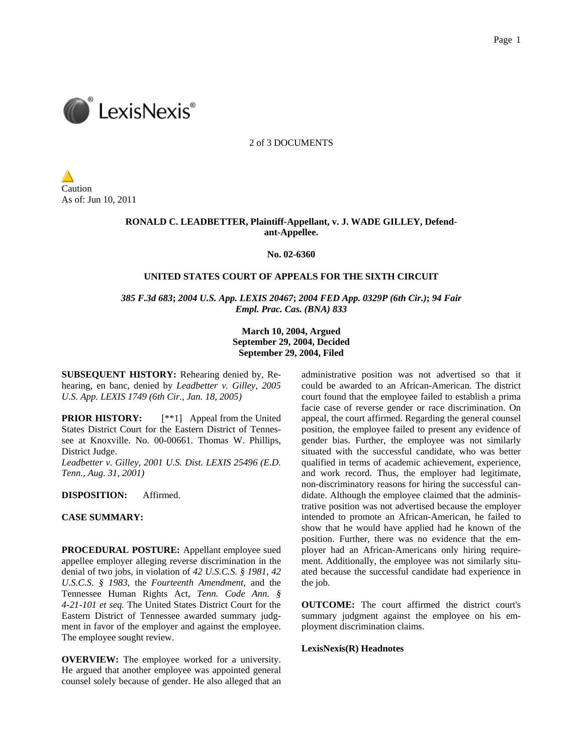

2 of 3 DOCUMENTS

Caution As of: Jun 10, 2011

# **RONALD C. LEADBETTER, Plaintiff-Appellant, v. J. WADE GILLEY, Defendant-Appellee.**

**No. 02-6360** 

## **UNITED STATES COURT OF APPEALS FOR THE SIXTH CIRCUIT**

*385 F.3d 683***;** *2004 U.S. App. LEXIS 20467***;** *2004 FED App. 0329P (6th Cir.)***;** *94 Fair Empl. Prac. Cas. (BNA) 833*

> **March 10, 2004, Argued September 29, 2004, Decided September 29, 2004, Filed**

**SUBSEQUENT HISTORY:** Rehearing denied by, Rehearing, en banc, denied by *Leadbetter v. Gilley, 2005 U.S. App. LEXIS 1749 (6th Cir., Jan. 18, 2005)*

**PRIOR HISTORY:** [\*\*1] Appeal from the United States District Court for the Eastern District of Tennessee at Knoxville. No. 00-00661. Thomas W. Phillips, District Judge.

*Leadbetter v. Gilley, 2001 U.S. Dist. LEXIS 25496 (E.D. Tenn., Aug. 31, 2001)*

**DISPOSITION:** Affirmed.

## **CASE SUMMARY:**

**PROCEDURAL POSTURE:** Appellant employee sued appellee employer alleging reverse discrimination in the denial of two jobs, in violation of *42 U.S.C.S. § 1981*, *42 U.S.C.S. § 1983*, the *Fourteenth Amendment*, and the Tennessee Human Rights Act, *Tenn. Code Ann. § 4-21-101 et seq.* The United States District Court for the Eastern District of Tennessee awarded summary judgment in favor of the employer and against the employee. The employee sought review.

**OVERVIEW:** The employee worked for a university. He argued that another employee was appointed general counsel solely because of gender. He also alleged that an

administrative position was not advertised so that it could be awarded to an African-American. The district court found that the employee failed to establish a prima facie case of reverse gender or race discrimination. On appeal, the court affirmed. Regarding the general counsel position, the employee failed to present any evidence of gender bias. Further, the employee was not similarly situated with the successful candidate, who was better qualified in terms of academic achievement, experience, and work record. Thus, the employer had legitimate, non-discriminatory reasons for hiring the successful candidate. Although the employee claimed that the administrative position was not advertised because the employer intended to promote an African-American, he failed to show that he would have applied had he known of the position. Further, there was no evidence that the employer had an African-Americans only hiring requirement. Additionally, the employee was not similarly situated because the successful candidate had experience in the job.

**OUTCOME:** The court affirmed the district court's summary judgment against the employee on his employment discrimination claims.

# **LexisNexis(R) Headnotes**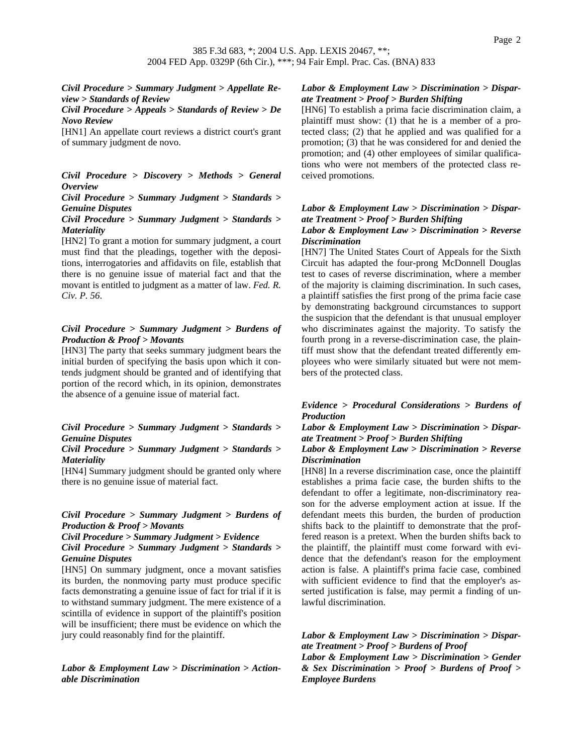*Civil Procedure > Summary Judgment > Appellate Review > Standards of Review*

*Civil Procedure > Appeals > Standards of Review > De Novo Review*

[HN1] An appellate court reviews a district court's grant of summary judgment de novo.

*Civil Procedure > Discovery > Methods > General Overview*

# *Civil Procedure > Summary Judgment > Standards > Genuine Disputes*

# *Civil Procedure > Summary Judgment > Standards > Materiality*

[HN2] To grant a motion for summary judgment, a court must find that the pleadings, together with the depositions, interrogatories and affidavits on file, establish that there is no genuine issue of material fact and that the movant is entitled to judgment as a matter of law. *Fed. R. Civ. P. 56*.

## *Civil Procedure > Summary Judgment > Burdens of Production & Proof > Movants*

[HN3] The party that seeks summary judgment bears the initial burden of specifying the basis upon which it contends judgment should be granted and of identifying that portion of the record which, in its opinion, demonstrates the absence of a genuine issue of material fact.

# *Civil Procedure > Summary Judgment > Standards > Genuine Disputes*

## *Civil Procedure > Summary Judgment > Standards > Materiality*

[HN4] Summary judgment should be granted only where there is no genuine issue of material fact.

## *Civil Procedure > Summary Judgment > Burdens of Production & Proof > Movants*

*Civil Procedure > Summary Judgment > Evidence Civil Procedure > Summary Judgment > Standards > Genuine Disputes*

[HN5] On summary judgment, once a movant satisfies its burden, the nonmoving party must produce specific facts demonstrating a genuine issue of fact for trial if it is to withstand summary judgment. The mere existence of a scintilla of evidence in support of the plaintiff's position will be insufficient; there must be evidence on which the jury could reasonably find for the plaintiff.

*Labor & Employment Law > Discrimination > Actionable Discrimination*

# *Labor & Employment Law > Discrimination > Disparate Treatment > Proof > Burden Shifting*

[HN6] To establish a prima facie discrimination claim, a plaintiff must show: (1) that he is a member of a protected class; (2) that he applied and was qualified for a promotion; (3) that he was considered for and denied the promotion; and (4) other employees of similar qualifications who were not members of the protected class received promotions.

# *Labor & Employment Law > Discrimination > Disparate Treatment > Proof > Burden Shifting*

# *Labor & Employment Law > Discrimination > Reverse Discrimination*

[HN7] The United States Court of Appeals for the Sixth Circuit has adapted the four-prong McDonnell Douglas test to cases of reverse discrimination, where a member of the majority is claiming discrimination. In such cases, a plaintiff satisfies the first prong of the prima facie case by demonstrating background circumstances to support the suspicion that the defendant is that unusual employer who discriminates against the majority. To satisfy the fourth prong in a reverse-discrimination case, the plaintiff must show that the defendant treated differently employees who were similarly situated but were not members of the protected class.

# *Evidence > Procedural Considerations > Burdens of Production*

# *Labor & Employment Law > Discrimination > Disparate Treatment > Proof > Burden Shifting*

# *Labor & Employment Law > Discrimination > Reverse Discrimination*

[HN8] In a reverse discrimination case, once the plaintiff establishes a prima facie case, the burden shifts to the defendant to offer a legitimate, non-discriminatory reason for the adverse employment action at issue. If the defendant meets this burden, the burden of production shifts back to the plaintiff to demonstrate that the proffered reason is a pretext. When the burden shifts back to the plaintiff, the plaintiff must come forward with evidence that the defendant's reason for the employment action is false. A plaintiff's prima facie case, combined with sufficient evidence to find that the employer's asserted justification is false, may permit a finding of unlawful discrimination.

# *Labor & Employment Law > Discrimination > Disparate Treatment > Proof > Burdens of Proof*

*Labor & Employment Law > Discrimination > Gender & Sex Discrimination > Proof > Burdens of Proof > Employee Burdens*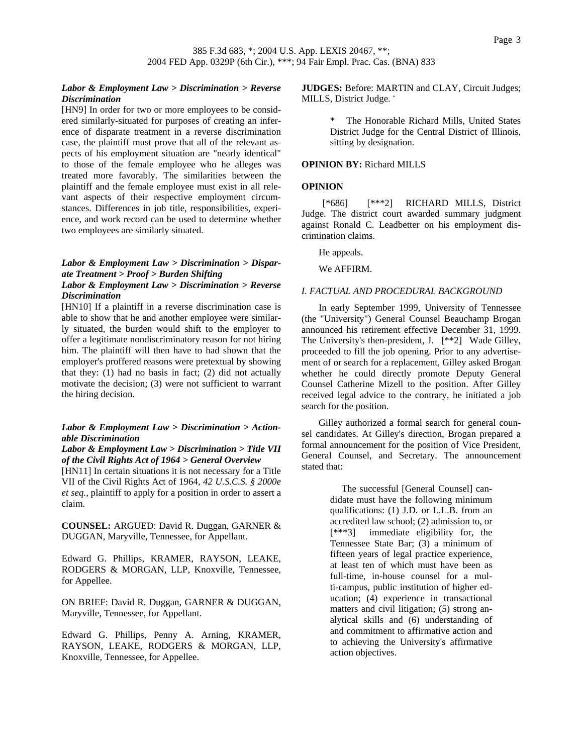# *Labor & Employment Law > Discrimination > Reverse Discrimination*

[HN9] In order for two or more employees to be considered similarly-situated for purposes of creating an inference of disparate treatment in a reverse discrimination case, the plaintiff must prove that all of the relevant aspects of his employment situation are "nearly identical" to those of the female employee who he alleges was treated more favorably. The similarities between the plaintiff and the female employee must exist in all relevant aspects of their respective employment circumstances. Differences in job title, responsibilities, experience, and work record can be used to determine whether two employees are similarly situated.

# *Labor & Employment Law > Discrimination > Disparate Treatment > Proof > Burden Shifting*

# *Labor & Employment Law > Discrimination > Reverse Discrimination*

[HN10] If a plaintiff in a reverse discrimination case is able to show that he and another employee were similarly situated, the burden would shift to the employer to offer a legitimate nondiscriminatory reason for not hiring him. The plaintiff will then have to had shown that the employer's proffered reasons were pretextual by showing that they:  $(1)$  had no basis in fact;  $(2)$  did not actually motivate the decision; (3) were not sufficient to warrant the hiring decision.

## *Labor & Employment Law > Discrimination > Actionable Discrimination*

## *Labor & Employment Law > Discrimination > Title VII of the Civil Rights Act of 1964 > General Overview*

[HN11] In certain situations it is not necessary for a Title VII of the Civil Rights Act of 1964, *42 U.S.C.S. § 2000e et seq.*, plaintiff to apply for a position in order to assert a claim.

**COUNSEL:** ARGUED: David R. Duggan, GARNER & DUGGAN, Maryville, Tennessee, for Appellant.

Edward G. Phillips, KRAMER, RAYSON, LEAKE, RODGERS & MORGAN, LLP, Knoxville, Tennessee, for Appellee.

ON BRIEF: David R. Duggan, GARNER & DUGGAN, Maryville, Tennessee, for Appellant.

Edward G. Phillips, Penny A. Arning, KRAMER, RAYSON, LEAKE, RODGERS & MORGAN, LLP, Knoxville, Tennessee, for Appellee.

**JUDGES:** Before: MARTIN and CLAY, Circuit Judges; MILLS, District Judge. \*

> The Honorable Richard Mills, United States District Judge for the Central District of Illinois, sitting by designation.

## **OPINION BY:** Richard MILLS

### **OPINION**

 [\*686] [\*\*\*2] RICHARD MILLS, District Judge. The district court awarded summary judgment against Ronald C. Leadbetter on his employment discrimination claims.

He appeals.

We AFFIRM.

### *I. FACTUAL AND PROCEDURAL BACKGROUND*

In early September 1999, University of Tennessee (the "University") General Counsel Beauchamp Brogan announced his retirement effective December 31, 1999. The University's then-president, J. [\*\*2] Wade Gilley, proceeded to fill the job opening. Prior to any advertisement of or search for a replacement, Gilley asked Brogan whether he could directly promote Deputy General Counsel Catherine Mizell to the position. After Gilley received legal advice to the contrary, he initiated a job search for the position.

Gilley authorized a formal search for general counsel candidates. At Gilley's direction, Brogan prepared a formal announcement for the position of Vice President, General Counsel, and Secretary. The announcement stated that:

> The successful [General Counsel] candidate must have the following minimum qualifications: (1) J.D. or L.L.B. from an accredited law school; (2) admission to, or [\*\*\*3] immediate eligibility for, the Tennessee State Bar; (3) a minimum of fifteen years of legal practice experience, at least ten of which must have been as full-time, in-house counsel for a multi-campus, public institution of higher education; (4) experience in transactional matters and civil litigation; (5) strong analytical skills and (6) understanding of and commitment to affirmative action and to achieving the University's affirmative action objectives.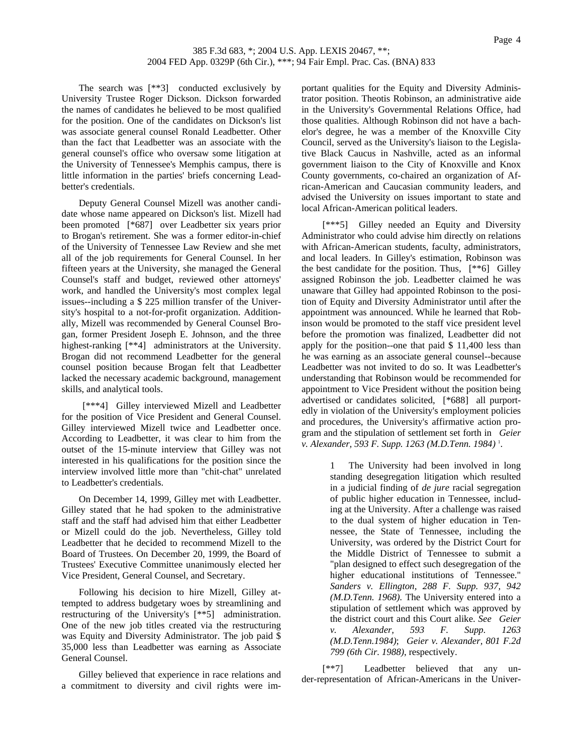The search was [\*\*3] conducted exclusively by University Trustee Roger Dickson. Dickson forwarded the names of candidates he believed to be most qualified for the position. One of the candidates on Dickson's list was associate general counsel Ronald Leadbetter. Other than the fact that Leadbetter was an associate with the general counsel's office who oversaw some litigation at the University of Tennessee's Memphis campus, there is little information in the parties' briefs concerning Leadbetter's credentials.

Deputy General Counsel Mizell was another candidate whose name appeared on Dickson's list. Mizell had been promoted [\*687] over Leadbetter six years prior to Brogan's retirement. She was a former editor-in-chief of the University of Tennessee Law Review and she met all of the job requirements for General Counsel. In her fifteen years at the University, she managed the General Counsel's staff and budget, reviewed other attorneys' work, and handled the University's most complex legal issues--including a \$ 225 million transfer of the University's hospital to a not-for-profit organization. Additionally, Mizell was recommended by General Counsel Brogan, former President Joseph E. Johnson, and the three highest-ranking [\*\*4] administrators at the University. Brogan did not recommend Leadbetter for the general counsel position because Brogan felt that Leadbetter lacked the necessary academic background, management skills, and analytical tools.

 [\*\*\*4] Gilley interviewed Mizell and Leadbetter for the position of Vice President and General Counsel. Gilley interviewed Mizell twice and Leadbetter once. According to Leadbetter, it was clear to him from the outset of the 15-minute interview that Gilley was not interested in his qualifications for the position since the interview involved little more than "chit-chat" unrelated to Leadbetter's credentials.

On December 14, 1999, Gilley met with Leadbetter. Gilley stated that he had spoken to the administrative staff and the staff had advised him that either Leadbetter or Mizell could do the job. Nevertheless, Gilley told Leadbetter that he decided to recommend Mizell to the Board of Trustees. On December 20, 1999, the Board of Trustees' Executive Committee unanimously elected her Vice President, General Counsel, and Secretary.

Following his decision to hire Mizell, Gilley attempted to address budgetary woes by streamlining and restructuring of the University's [\*\*5] administration. One of the new job titles created via the restructuring was Equity and Diversity Administrator. The job paid \$ 35,000 less than Leadbetter was earning as Associate General Counsel.

Gilley believed that experience in race relations and a commitment to diversity and civil rights were important qualities for the Equity and Diversity Administrator position. Theotis Robinson, an administrative aide in the University's Governmental Relations Office, had those qualities. Although Robinson did not have a bachelor's degree, he was a member of the Knoxville City Council, served as the University's liaison to the Legislative Black Caucus in Nashville, acted as an informal government liaison to the City of Knoxville and Knox County governments, co-chaired an organization of African-American and Caucasian community leaders, and advised the University on issues important to state and local African-American political leaders.

 [\*\*\*5] Gilley needed an Equity and Diversity Administrator who could advise him directly on relations with African-American students, faculty, administrators, and local leaders. In Gilley's estimation, Robinson was the best candidate for the position. Thus, [\*\*6] Gilley assigned Robinson the job. Leadbetter claimed he was unaware that Gilley had appointed Robinson to the position of Equity and Diversity Administrator until after the appointment was announced. While he learned that Robinson would be promoted to the staff vice president level before the promotion was finalized, Leadbetter did not apply for the position--one that paid \$ 11,400 less than he was earning as an associate general counsel--because Leadbetter was not invited to do so. It was Leadbetter's understanding that Robinson would be recommended for appointment to Vice President without the position being advertised or candidates solicited, [\*688] all purportedly in violation of the University's employment policies and procedures, the University's affirmative action program and the stipulation of settlement set forth in *Geier v. Alexander, 593 F. Supp. 1263 (M.D.Tenn. 1984)* <sup>1</sup> .

> 1 The University had been involved in long standing desegregation litigation which resulted in a judicial finding of *de jure* racial segregation of public higher education in Tennessee, including at the University. After a challenge was raised to the dual system of higher education in Tennessee, the State of Tennessee, including the University, was ordered by the District Court for the Middle District of Tennessee to submit a "plan designed to effect such desegregation of the higher educational institutions of Tennessee." *Sanders v. Ellington, 288 F. Supp. 937, 942 (M.D.Tenn. 1968)*. The University entered into a stipulation of settlement which was approved by the district court and this Court alike. *See Geier v. Alexander, 593 F. Supp. 1263 (M.D.Tenn.1984)*; *Geier v. Alexander, 801 F.2d 799 (6th Cir. 1988)*, respectively.

 [\*\*7] Leadbetter believed that any under-representation of African-Americans in the Univer-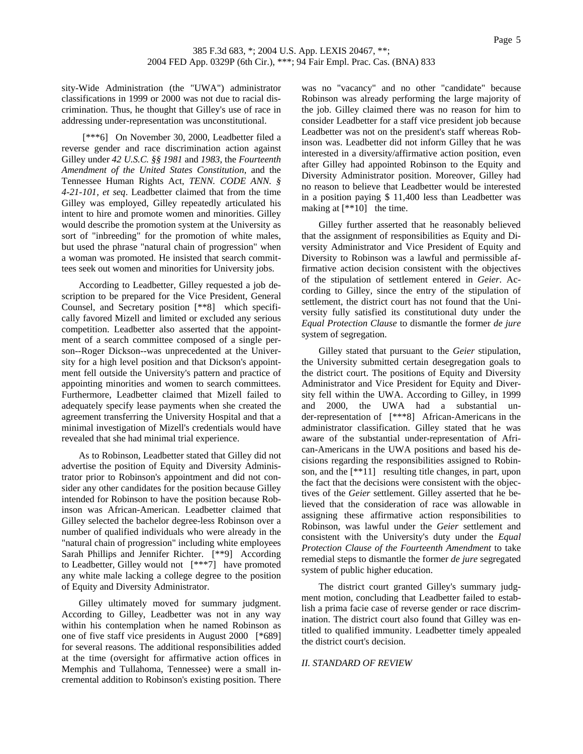sity-Wide Administration (the "UWA") administrator classifications in 1999 or 2000 was not due to racial discrimination. Thus, he thought that Gilley's use of race in addressing under-representation was unconstitutional.

[\*\*\*6] On November 30, 2000, Leadbetter filed a reverse gender and race discrimination action against Gilley under *42 U.S.C. §§ 1981* and *1983*, the *Fourteenth Amendment of the United States Constitution*, and the Tennessee Human Rights Act, *TENN. CODE ANN. § 4-21-101, et seq*. Leadbetter claimed that from the time Gilley was employed, Gilley repeatedly articulated his intent to hire and promote women and minorities. Gilley would describe the promotion system at the University as sort of "inbreeding" for the promotion of white males, but used the phrase "natural chain of progression" when a woman was promoted. He insisted that search committees seek out women and minorities for University jobs.

According to Leadbetter, Gilley requested a job description to be prepared for the Vice President, General Counsel, and Secretary position [\*\*8] which specifically favored Mizell and limited or excluded any serious competition. Leadbetter also asserted that the appointment of a search committee composed of a single person--Roger Dickson--was unprecedented at the University for a high level position and that Dickson's appointment fell outside the University's pattern and practice of appointing minorities and women to search committees. Furthermore, Leadbetter claimed that Mizell failed to adequately specify lease payments when she created the agreement transferring the University Hospital and that a minimal investigation of Mizell's credentials would have revealed that she had minimal trial experience.

As to Robinson, Leadbetter stated that Gilley did not advertise the position of Equity and Diversity Administrator prior to Robinson's appointment and did not consider any other candidates for the position because Gilley intended for Robinson to have the position because Robinson was African-American. Leadbetter claimed that Gilley selected the bachelor degree-less Robinson over a number of qualified individuals who were already in the "natural chain of progression" including white employees Sarah Phillips and Jennifer Richter. [\*\*9] According to Leadbetter, Gilley would not [\*\*\*7] have promoted any white male lacking a college degree to the position of Equity and Diversity Administrator.

Gilley ultimately moved for summary judgment. According to Gilley, Leadbetter was not in any way within his contemplation when he named Robinson as one of five staff vice presidents in August 2000 [\*689] for several reasons. The additional responsibilities added at the time (oversight for affirmative action offices in Memphis and Tullahoma, Tennessee) were a small incremental addition to Robinson's existing position. There

was no "vacancy" and no other "candidate" because Robinson was already performing the large majority of the job. Gilley claimed there was no reason for him to consider Leadbetter for a staff vice president job because Leadbetter was not on the president's staff whereas Robinson was. Leadbetter did not inform Gilley that he was interested in a diversity/affirmative action position, even after Gilley had appointed Robinson to the Equity and Diversity Administrator position. Moreover, Gilley had no reason to believe that Leadbetter would be interested in a position paying \$ 11,400 less than Leadbetter was making at  $[**10]$  the time.

Gilley further asserted that he reasonably believed that the assignment of responsibilities as Equity and Diversity Administrator and Vice President of Equity and Diversity to Robinson was a lawful and permissible affirmative action decision consistent with the objectives of the stipulation of settlement entered in *Geier*. According to Gilley, since the entry of the stipulation of settlement, the district court has not found that the University fully satisfied its constitutional duty under the *Equal Protection Clause* to dismantle the former *de jure* system of segregation.

Gilley stated that pursuant to the *Geier* stipulation, the University submitted certain desegregation goals to the district court. The positions of Equity and Diversity Administrator and Vice President for Equity and Diversity fell within the UWA. According to Gilley, in 1999 and 2000, the UWA had a substantial under-representation of [\*\*\*8] African-Americans in the administrator classification. Gilley stated that he was aware of the substantial under-representation of African-Americans in the UWA positions and based his decisions regarding the responsibilities assigned to Robinson, and the [\*\*11] resulting title changes, in part, upon the fact that the decisions were consistent with the objectives of the *Geier* settlement. Gilley asserted that he believed that the consideration of race was allowable in assigning these affirmative action responsibilities to Robinson, was lawful under the *Geier* settlement and consistent with the University's duty under the *Equal Protection Clause of the Fourteenth Amendment* to take remedial steps to dismantle the former *de jure* segregated system of public higher education.

The district court granted Gilley's summary judgment motion, concluding that Leadbetter failed to establish a prima facie case of reverse gender or race discrimination. The district court also found that Gilley was entitled to qualified immunity. Leadbetter timely appealed the district court's decision.

### *II. STANDARD OF REVIEW*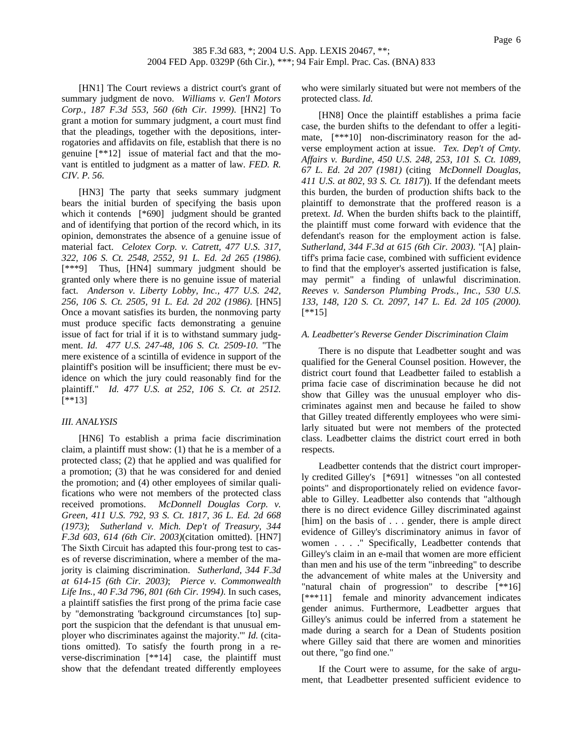[HN1] The Court reviews a district court's grant of summary judgment de novo. *Williams v. Gen'l Motors Corp., 187 F.3d 553, 560 (6th Cir. 1999)*. [HN2] To grant a motion for summary judgment, a court must find that the pleadings, together with the depositions, interrogatories and affidavits on file, establish that there is no genuine [\*\*12] issue of material fact and that the movant is entitled to judgment as a matter of law. *FED. R. CIV. P. 56*.

[HN3] The party that seeks summary judgment bears the initial burden of specifying the basis upon which it contends [\*690] judgment should be granted and of identifying that portion of the record which, in its opinion, demonstrates the absence of a genuine issue of material fact. *Celotex Corp. v. Catrett, 477 U.S. 317, 322, 106 S. Ct. 2548, 2552, 91 L. Ed. 2d 265 (1986).*  [\*\*\*9] Thus, [HN4] summary judgment should be granted only where there is no genuine issue of material fact. *Anderson v. Liberty Lobby, Inc., 477 U.S. 242, 256, 106 S. Ct. 2505, 91 L. Ed. 2d 202 (1986)*. [HN5] Once a movant satisfies its burden, the nonmoving party must produce specific facts demonstrating a genuine issue of fact for trial if it is to withstand summary judgment. *Id. 477 U.S. 247-48, 106 S. Ct. 2509-10*. "The mere existence of a scintilla of evidence in support of the plaintiff's position will be insufficient; there must be evidence on which the jury could reasonably find for the plaintiff." *Id. 477 U.S. at 252, 106 S. Ct. at 2512.* [\*\*13]

## *III. ANALYSIS*

[HN6] To establish a prima facie discrimination claim, a plaintiff must show: (1) that he is a member of a protected class; (2) that he applied and was qualified for a promotion; (3) that he was considered for and denied the promotion; and (4) other employees of similar qualifications who were not members of the protected class received promotions. *McDonnell Douglas Corp. v. Green, 411 U.S. 792, 93 S. Ct. 1817, 36 L. Ed. 2d 668 (1973)*; *Sutherland v. Mich. Dep't of Treasury, 344 F.3d 603, 614 (6th Cir. 2003)*(citation omitted). [HN7] The Sixth Circuit has adapted this four-prong test to cases of reverse discrimination, where a member of the majority is claiming discrimination. *Sutherland, 344 F.3d at 614-15 (6th Cir. 2003)*; *Pierce v. Commonwealth Life Ins., 40 F.3d 796, 801 (6th Cir. 1994)*. In such cases, a plaintiff satisfies the first prong of the prima facie case by "demonstrating 'background circumstances [to] support the suspicion that the defendant is that unusual employer who discriminates against the majority.'" *Id.* (citations omitted). To satisfy the fourth prong in a reverse-discrimination [\*\*14] case, the plaintiff must show that the defendant treated differently employees

who were similarly situated but were not members of the protected class. *Id.*

[HN8] Once the plaintiff establishes a prima facie case, the burden shifts to the defendant to offer a legitimate,  $[***10]$  non-discriminatory reason for the adverse employment action at issue. *Tex. Dep't of Cmty. Affairs v. Burdine, 450 U.S. 248, 253, 101 S. Ct. 1089, 67 L. Ed. 2d 207 (1981)* (citing *McDonnell Douglas, 411 U.S. at 802, 93 S. Ct. 1817*)). If the defendant meets this burden, the burden of production shifts back to the plaintiff to demonstrate that the proffered reason is a pretext. *Id.* When the burden shifts back to the plaintiff, the plaintiff must come forward with evidence that the defendant's reason for the employment action is false. *Sutherland, 344 F.3d at 615 (6th Cir. 2003)*. "[A] plaintiff's prima facie case, combined with sufficient evidence to find that the employer's asserted justification is false, may permit" a finding of unlawful discrimination. *Reeves v. Sanderson Plumbing Prods., Inc., 530 U.S. 133, 148, 120 S. Ct. 2097, 147 L. Ed. 2d 105 (2000).*  $[$ \*\*15]

### *A. Leadbetter's Reverse Gender Discrimination Claim*

There is no dispute that Leadbetter sought and was qualified for the General Counsel position. However, the district court found that Leadbetter failed to establish a prima facie case of discrimination because he did not show that Gilley was the unusual employer who discriminates against men and because he failed to show that Gilley treated differently employees who were similarly situated but were not members of the protected class. Leadbetter claims the district court erred in both respects.

Leadbetter contends that the district court improperly credited Gilley's [\*691] witnesses "on all contested points" and disproportionately relied on evidence favorable to Gilley. Leadbetter also contends that "although there is no direct evidence Gilley discriminated against [him] on the basis of . . . gender, there is ample direct evidence of Gilley's discriminatory animus in favor of women . . . ." Specifically, Leadbetter contends that Gilley's claim in an e-mail that women are more efficient than men and his use of the term "inbreeding" to describe the advancement of white males at the University and "natural chain of progression" to describe [\*\*16] [\*\*\*11] female and minority advancement indicates gender animus. Furthermore, Leadbetter argues that Gilley's animus could be inferred from a statement he made during a search for a Dean of Students position where Gilley said that there are women and minorities out there, "go find one."

If the Court were to assume, for the sake of argument, that Leadbetter presented sufficient evidence to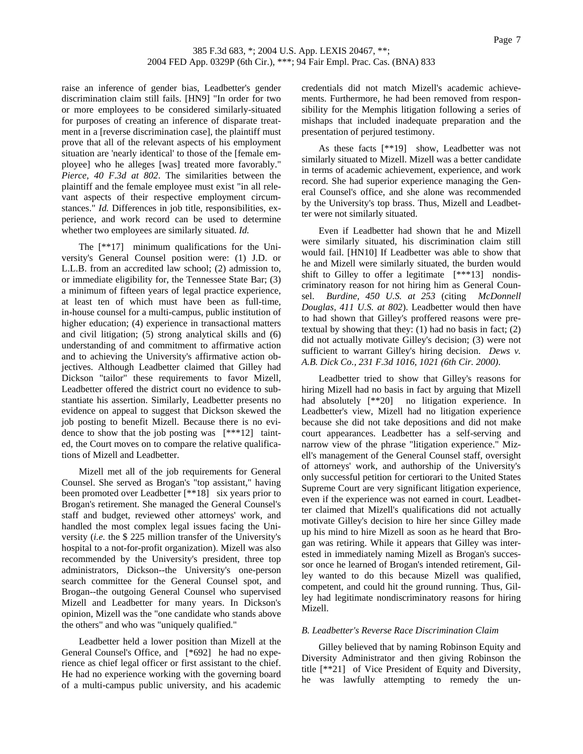raise an inference of gender bias, Leadbetter's gender discrimination claim still fails. [HN9] "In order for two or more employees to be considered similarly-situated for purposes of creating an inference of disparate treatment in a [reverse discrimination case], the plaintiff must prove that all of the relevant aspects of his employment situation are 'nearly identical' to those of the [female employee] who he alleges [was] treated more favorably." *Pierce, 40 F.3d at 802*. The similarities between the plaintiff and the female employee must exist "in all relevant aspects of their respective employment circumstances." *Id.* Differences in job title, responsibilities, experience, and work record can be used to determine whether two employees are similarly situated. *Id.*

The [\*\*17] minimum qualifications for the University's General Counsel position were: (1) J.D. or L.L.B. from an accredited law school; (2) admission to, or immediate eligibility for, the Tennessee State Bar; (3) a minimum of fifteen years of legal practice experience, at least ten of which must have been as full-time, in-house counsel for a multi-campus, public institution of higher education; (4) experience in transactional matters and civil litigation; (5) strong analytical skills and (6) understanding of and commitment to affirmative action and to achieving the University's affirmative action objectives. Although Leadbetter claimed that Gilley had Dickson "tailor" these requirements to favor Mizell, Leadbetter offered the district court no evidence to substantiate his assertion. Similarly, Leadbetter presents no evidence on appeal to suggest that Dickson skewed the job posting to benefit Mizell. Because there is no evidence to show that the job posting was [\*\*\*12] tainted, the Court moves on to compare the relative qualifications of Mizell and Leadbetter.

Mizell met all of the job requirements for General Counsel. She served as Brogan's "top assistant," having been promoted over Leadbetter [\*\*18] six years prior to Brogan's retirement. She managed the General Counsel's staff and budget, reviewed other attorneys' work, and handled the most complex legal issues facing the University (*i.e.* the \$ 225 million transfer of the University's hospital to a not-for-profit organization). Mizell was also recommended by the University's president, three top administrators, Dickson--the University's one-person search committee for the General Counsel spot, and Brogan--the outgoing General Counsel who supervised Mizell and Leadbetter for many years. In Dickson's opinion, Mizell was the "one candidate who stands above the others" and who was "uniquely qualified."

Leadbetter held a lower position than Mizell at the General Counsel's Office, and [\*692] he had no experience as chief legal officer or first assistant to the chief. He had no experience working with the governing board of a multi-campus public university, and his academic credentials did not match Mizell's academic achievements. Furthermore, he had been removed from responsibility for the Memphis litigation following a series of mishaps that included inadequate preparation and the presentation of perjured testimony.

As these facts [\*\*19] show, Leadbetter was not similarly situated to Mizell. Mizell was a better candidate in terms of academic achievement, experience, and work record. She had superior experience managing the General Counsel's office, and she alone was recommended by the University's top brass. Thus, Mizell and Leadbetter were not similarly situated.

Even if Leadbetter had shown that he and Mizell were similarly situated, his discrimination claim still would fail. [HN10] If Leadbetter was able to show that he and Mizell were similarly situated, the burden would shift to Gilley to offer a legitimate [\*\*\*13] nondiscriminatory reason for not hiring him as General Counsel. *Burdine, 450 U.S. at 253* (citing *McDonnell Douglas, 411 U.S. at 802*). Leadbetter would then have to had shown that Gilley's proffered reasons were pretextual by showing that they: (1) had no basis in fact; (2) did not actually motivate Gilley's decision; (3) were not sufficient to warrant Gilley's hiring decision. *Dews v. A.B. Dick Co., 231 F.3d 1016, 1021 (6th Cir. 2000)*.

Leadbetter tried to show that Gilley's reasons for hiring Mizell had no basis in fact by arguing that Mizell had absolutely [\*\*20] no litigation experience. In Leadbetter's view, Mizell had no litigation experience because she did not take depositions and did not make court appearances. Leadbetter has a self-serving and narrow view of the phrase "litigation experience." Mizell's management of the General Counsel staff, oversight of attorneys' work, and authorship of the University's only successful petition for certiorari to the United States Supreme Court are very significant litigation experience, even if the experience was not earned in court. Leadbetter claimed that Mizell's qualifications did not actually motivate Gilley's decision to hire her since Gilley made up his mind to hire Mizell as soon as he heard that Brogan was retiring. While it appears that Gilley was interested in immediately naming Mizell as Brogan's successor once he learned of Brogan's intended retirement, Gilley wanted to do this because Mizell was qualified, competent, and could hit the ground running. Thus, Gilley had legitimate nondiscriminatory reasons for hiring Mizell.

## *B. Leadbetter's Reverse Race Discrimination Claim*

Gilley believed that by naming Robinson Equity and Diversity Administrator and then giving Robinson the title [\*\*21] of Vice President of Equity and Diversity, he was lawfully attempting to remedy the un